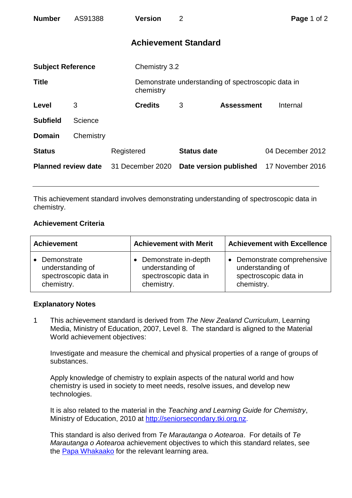| <b>Number</b>              | AS91388   |                  | <b>Version</b>              | 2                  |                                                    | Page 1 of 2      |
|----------------------------|-----------|------------------|-----------------------------|--------------------|----------------------------------------------------|------------------|
|                            |           |                  | <b>Achievement Standard</b> |                    |                                                    |                  |
| <b>Subject Reference</b>   |           |                  | Chemistry 3.2               |                    |                                                    |                  |
| <b>Title</b>               |           |                  | chemistry                   |                    | Demonstrate understanding of spectroscopic data in |                  |
| Level                      | 3         |                  | <b>Credits</b>              | 3                  | <b>Assessment</b>                                  | Internal         |
| <b>Subfield</b>            | Science   |                  |                             |                    |                                                    |                  |
| <b>Domain</b>              | Chemistry |                  |                             |                    |                                                    |                  |
| <b>Status</b>              |           | Registered       |                             | <b>Status date</b> |                                                    | 04 December 2012 |
| <b>Planned review date</b> |           | 31 December 2020 |                             |                    | Date version published                             | 17 November 2016 |

This achievement standard involves demonstrating understanding of spectroscopic data in chemistry.

## **Achievement Criteria**

| <b>Achievement</b>                                                     | <b>Achievement with Merit</b>                                                     | <b>Achievement with Excellence</b>                                                                |  |
|------------------------------------------------------------------------|-----------------------------------------------------------------------------------|---------------------------------------------------------------------------------------------------|--|
| Demonstrate<br>understanding of<br>spectroscopic data in<br>chemistry. | • Demonstrate in-depth<br>understanding of<br>spectroscopic data in<br>chemistry. | Demonstrate comprehensive<br>$\bullet$<br>understanding of<br>spectroscopic data in<br>chemistry. |  |

## **Explanatory Notes**

1 This achievement standard is derived from *The New Zealand Curriculum*, Learning Media, Ministry of Education, 2007, Level 8. The standard is aligned to the Material World achievement objectives:

Investigate and measure the chemical and physical properties of a range of groups of substances.

Apply knowledge of chemistry to explain aspects of the natural world and how chemistry is used in society to meet needs, resolve issues, and develop new technologies.

It is also related to the material in the *Teaching and Learning Guide for Chemistry*, Ministry of Education, 2010 at [http://seniorsecondary.tki.org.nz.](http://seniorsecondary.tki.org.nz/)

This standard is also derived from *Te Marautanga o Aotearoa*. For details of *Te Marautanga o Aotearoa* achievement objectives to which this standard relates, see the [Papa Whakaako](http://tmoa.tki.org.nz/Te-Marautanga-o-Aotearoa/Taumata-Matauranga-a-Motu-Ka-Taea) for the relevant learning area.